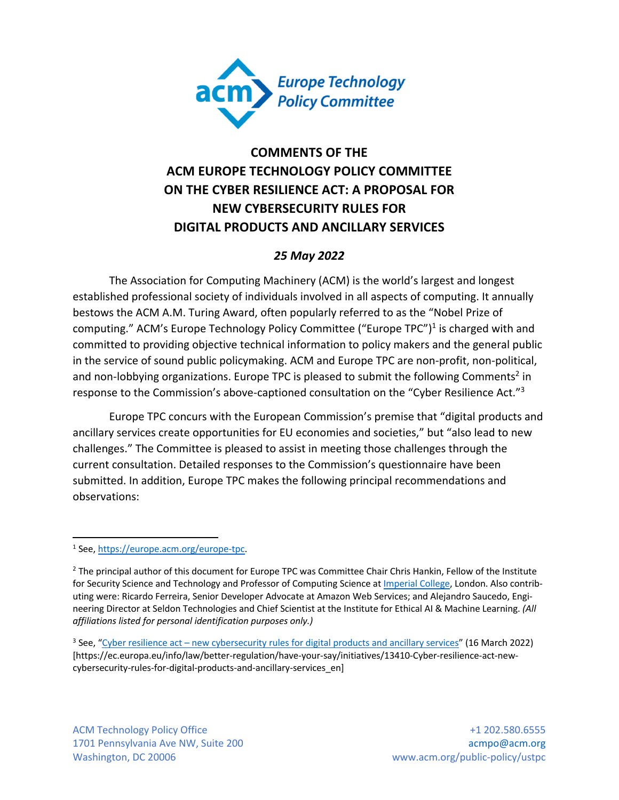

# **COMMENTS OF THE ACM EUROPE TECHNOLOGY POLICY COMMITTEE ON THE CYBER RESILIENCE ACT: A PROPOSAL FOR NEW CYBERSECURITY RULES FOR DIGITAL PRODUCTS AND ANCILLARY SERVICES**

### *25 May 2022*

The Association for Computing Machinery (ACM) is the world's largest and longest established professional society of individuals involved in all aspects of computing. It annually bestows the ACM A.M. Turing Award, often popularly referred to as the "Nobel Prize of computing." ACM's Europe Technology Policy Committee ("Europe TPC")<sup>1</sup> is charged with and committed to providing objective technical information to policy makers and the general public in the service of sound public policymaking. ACM and Europe TPC are non-profit, non-political, and non-lobbying organizations. Europe TPC is pleased to submit the following Comments<sup>2</sup> in response to the Commission's above-captioned consultation on the "Cyber Resilience Act."3

Europe TPC concurs with the European Commission's premise that "digital products and ancillary services create opportunities for EU economies and societies," but "also lead to new challenges." The Committee is pleased to assist in meeting those challenges through the current consultation. Detailed responses to the Commission's questionnaire have been submitted. In addition, Europe TPC makes the following principal recommendations and observations:

<sup>3</sup> See, "Cyber resilience act – new cybersecurity rules for digital products and ancillary services" (16 March 2022) [https://ec.europa.eu/info/law/better-regulation/have-your-say/initiatives/13410-Cyber-resilience-act-newcybersecurity-rules-for-digital-products-and-ancillary-services\_en]

<sup>1</sup> See, https://europe.acm.org/europe-tpc.

<sup>&</sup>lt;sup>2</sup> The principal author of this document for Europe TPC was Committee Chair Chris Hankin, Fellow of the Institute for Security Science and Technology and Professor of Computing Science at *Imperial College*, London. Also contributing were: Ricardo Ferreira, Senior Developer Advocate at Amazon Web Services; and Alejandro Saucedo, Engineering Director at Seldon Technologies and Chief Scientist at the Institute for Ethical AI & Machine Learning. *(All affiliations listed for personal identification purposes only.)*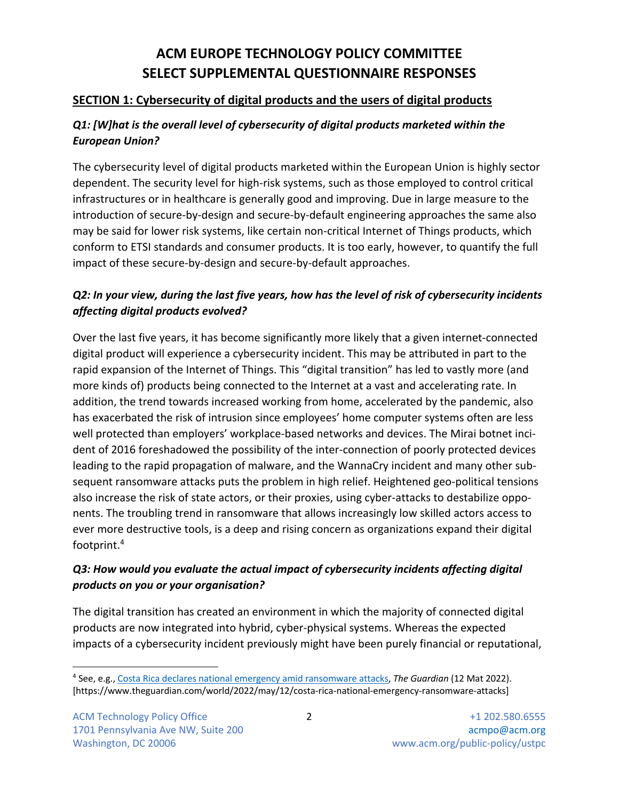# **ACM EUROPE TECHNOLOGY POLICY COMMITTEE SELECT SUPPLEMENTAL QUESTIONNAIRE RESPONSES**

### **SECTION 1: Cybersecurity of digital products and the users of digital products**

# *Q1: [W]hat is the overall level of cybersecurity of digital products marketed within the European Union?*

The cybersecurity level of digital products marketed within the European Union is highly sector dependent. The security level for high-risk systems, such as those employed to control critical infrastructures or in healthcare is generally good and improving. Due in large measure to the introduction of secure-by-design and secure-by-default engineering approaches the same also may be said for lower risk systems, like certain non-critical Internet of Things products, which conform to ETSI standards and consumer products. It is too early, however, to quantify the full impact of these secure-by-design and secure-by-default approaches.

# *Q2: In your view, during the last five years, how has the level of risk of cybersecurity incidents affecting digital products evolved?*

Over the last five years, it has become significantly more likely that a given internet-connected digital product will experience a cybersecurity incident. This may be attributed in part to the rapid expansion of the Internet of Things. This "digital transition" has led to vastly more (and more kinds of) products being connected to the Internet at a vast and accelerating rate. In addition, the trend towards increased working from home, accelerated by the pandemic, also has exacerbated the risk of intrusion since employees' home computer systems often are less well protected than employers' workplace-based networks and devices. The Mirai botnet incident of 2016 foreshadowed the possibility of the inter-connection of poorly protected devices leading to the rapid propagation of malware, and the WannaCry incident and many other subsequent ransomware attacks puts the problem in high relief. Heightened geo-political tensions also increase the risk of state actors, or their proxies, using cyber-attacks to destabilize opponents. The troubling trend in ransomware that allows increasingly low skilled actors access to ever more destructive tools, is a deep and rising concern as organizations expand their digital footprint.4

# *Q3: How would you evaluate the actual impact of cybersecurity incidents affecting digital products on you or your organisation?*

The digital transition has created an environment in which the majority of connected digital products are now integrated into hybrid, cyber-physical systems. Whereas the expected impacts of a cybersecurity incident previously might have been purely financial or reputational,

<sup>4</sup> See, e.g., Costa Rica declares national emergency amid ransomware attacks, *The Guardian* (12 Mat 2022). [https://www.theguardian.com/world/2022/may/12/costa-rica-national-emergency-ransomware-attacks]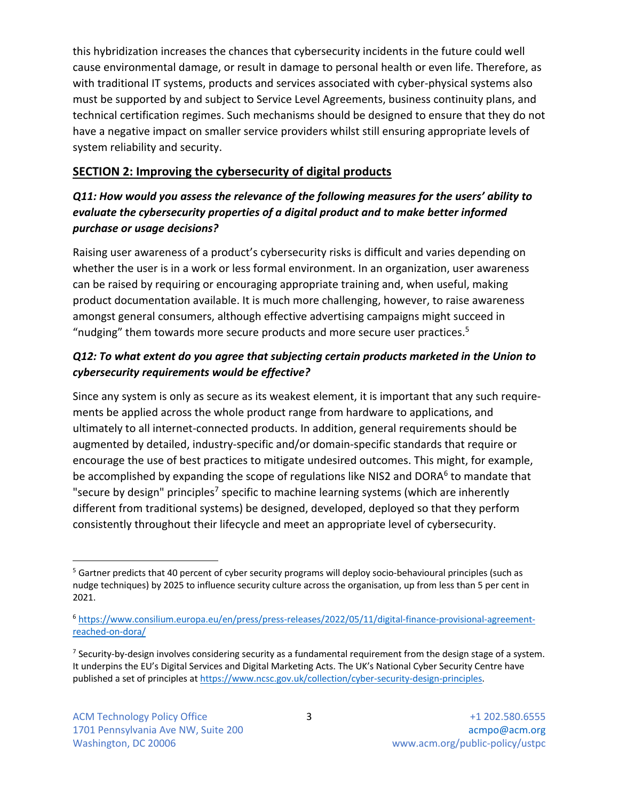this hybridization increases the chances that cybersecurity incidents in the future could well cause environmental damage, or result in damage to personal health or even life. Therefore, as with traditional IT systems, products and services associated with cyber-physical systems also must be supported by and subject to Service Level Agreements, business continuity plans, and technical certification regimes. Such mechanisms should be designed to ensure that they do not have a negative impact on smaller service providers whilst still ensuring appropriate levels of system reliability and security.

### **SECTION 2: Improving the cybersecurity of digital products**

# *Q11: How would you assess the relevance of the following measures for the users' ability to evaluate the cybersecurity properties of a digital product and to make better informed purchase or usage decisions?*

Raising user awareness of a product's cybersecurity risks is difficult and varies depending on whether the user is in a work or less formal environment. In an organization, user awareness can be raised by requiring or encouraging appropriate training and, when useful, making product documentation available. It is much more challenging, however, to raise awareness amongst general consumers, although effective advertising campaigns might succeed in "nudging" them towards more secure products and more secure user practices.<sup>5</sup>

## *Q12: To what extent do you agree that subjecting certain products marketed in the Union to cybersecurity requirements would be effective?*

Since any system is only as secure as its weakest element, it is important that any such requirements be applied across the whole product range from hardware to applications, and ultimately to all internet-connected products. In addition, general requirements should be augmented by detailed, industry-specific and/or domain-specific standards that require or encourage the use of best practices to mitigate undesired outcomes. This might, for example, be accomplished by expanding the scope of regulations like NIS2 and DORA<sup>6</sup> to mandate that "secure by design" principles<sup>7</sup> specific to machine learning systems (which are inherently different from traditional systems) be designed, developed, deployed so that they perform consistently throughout their lifecycle and meet an appropriate level of cybersecurity.

<sup>&</sup>lt;sup>5</sup> Gartner predicts that 40 percent of cyber security programs will deploy socio-behavioural principles (such as nudge techniques) by 2025 to influence security culture across the organisation, up from less than 5 per cent in 2021.

<sup>6</sup> https://www.consilium.europa.eu/en/press/press-releases/2022/05/11/digital-finance-provisional-agreementreached-on-dora/

 $<sup>7</sup>$  Security-by-design involves considering security as a fundamental requirement from the design stage of a system.</sup> It underpins the EU's Digital Services and Digital Marketing Acts. The UK's National Cyber Security Centre have published a set of principles at https://www.ncsc.gov.uk/collection/cyber-security-design-principles.